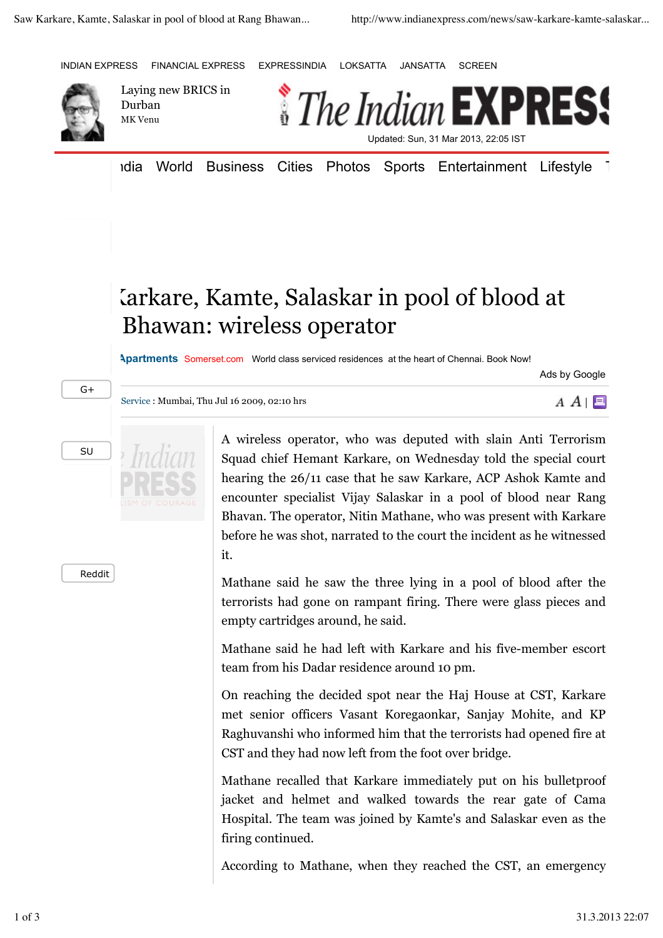



Laying new BRICS in Durban MK Venu



Idia World Business Cities Photos Sports Entertainment Lifestyle T

## Larkare, Kamte, Salaskar in pool of blood at Bhawan: wireless operator

**Long Stay Apartments** Somerset.com World class serviced residences at the heart of Chennai. Book Now!

Ads by Google

 $A \cap \blacksquare$ 



SU



Service : Mumbai, Thu Jul 16 2009, 02:10 hrs

Reddit

A wireless operator, who was deputed with slain Anti Terrorism Squad chief Hemant Karkare, on Wednesday told the special court hearing the 26/11 case that he saw Karkare, ACP Ashok Kamte and encounter specialist Vijay Salaskar in a pool of blood near Rang Bhavan. The operator, Nitin Mathane, who was present with Karkare before he was shot, narrated to the court the incident as he witnessed it.

Mathane said he saw the three lying in a pool of blood after the terrorists had gone on rampant firing. There were glass pieces and empty cartridges around, he said.

Mathane said he had left with Karkare and his five-member escort team from his Dadar residence around 10 pm.

On reaching the decided spot near the Haj House at CST, Karkare met senior officers Vasant Koregaonkar, Sanjay Mohite, and KP Raghuvanshi who informed him that the terrorists had opened fire at CST and they had now left from the foot over bridge.

Mathane recalled that Karkare immediately put on his bulletproof jacket and helmet and walked towards the rear gate of Cama Hospital. The team was joined by Kamte's and Salaskar even as the firing continued.

According to Mathane, when they reached the CST, an emergency